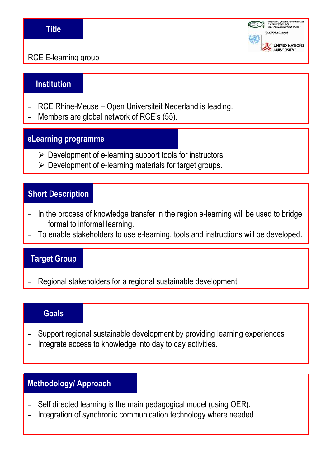## **Title**



RCE E-learning group

## **Institution**

- RCE Rhine-Meuse Open Universiteit Nederland is leading.
- Members are global network of RCE's (55).

#### **eLearning programme**

- $\triangleright$  Development of e-learning support tools for instructors.
- $\triangleright$  Development of e-learning materials for target groups.

## **Short Description**

- In the process of knowledge transfer in the region e-learning will be used to bridge formal to informal learning.
- To enable stakeholders to use e-learning, tools and instructions will be developed.

## **Target Group**

Regional stakeholders for a regional sustainable development.

#### **Goals**

- Support regional sustainable development by providing learning experiences
- Integrate access to knowledge into day to day activities.

# **Methodology/ Approach**

- Self directed learning is the main pedagogical model (using OER).
- Integration of synchronic communication technology where needed.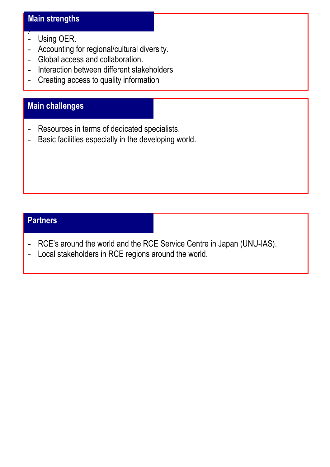# **Main strengths**

- Using OER.

)<br>)

- Accounting for regional/cultural diversity.
- Global access and collaboration.
- Interaction between different stakeholders
- Creating access to quality information

# **Main challenges**

- Resources in terms of dedicated specialists.
- Basic facilities especially in the developing world.

# **Partners**

- RCE's around the world and the RCE Service Centre in Japan (UNU-IAS).
- Local stakeholders in RCE regions around the world.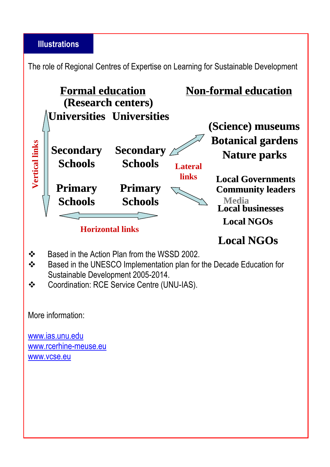## **Illustrations**

The role of Regional Centres of Expertise on Learning for Sustainable Development



- $\cdot$ Based in the Action Plan from the WSSD 2002.
- $\frac{1}{2}$  Based in the UNESCO Implementation plan for the Decade Education for Sustainable Development 2005-2014.
- $\frac{1}{2}$ Coordination: RCE Service Centre (UNU-IAS).

More information:

www.ias.unu.edu www.rcerhine-meuse.eu www.vcse.eu